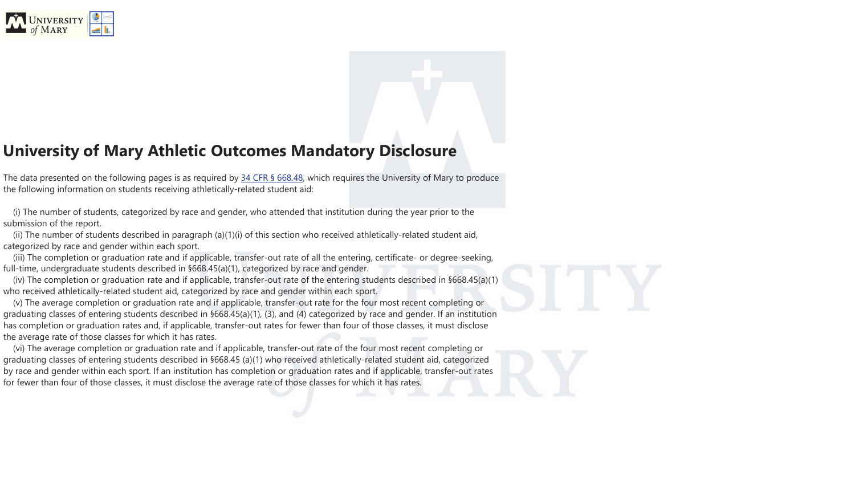

## **University of Mary Athletic Outcomes Mandatory Disclosure**

The data presented on the following pages is as required by 34 CFR § [668.48,](https://www.ecfr.gov/cgi-bin/text-idx?SID=a97b2365f17b979846104e3b9632c705&node=se34.3.668_148&rgn=div8) which requires the University of Mary to produce the following information on students receiving athletically-related student aid:

(i) The number of students, categorized by race and gender, who attended that institution during the year prior to the submission of the report.

(ii) The number of students described in paragraph (a)(1)(i) of this section who received athletically-related student aid, categorized by race and gender within each sport.

(iii) The completion or graduation rate and if applicable, transfer-out rate of all the entering, certificate- or degree-seeking, full-time, undergraduate students described in §668.45(a)(1), categorized by race and gender.

(iv) The completion or graduation rate and if applicable, transfer-out rate of the entering students described in §668.45(a)(1) who received athletically-related student aid, categorized by race and gender within each sport.

(v) The average completion or graduation rate and if applicable, transfer-out rate for the four most recent completing or graduating classes of entering students described in §668.45(a)(1), (3), and (4) categorized by race and gender. If an institution has completion or graduation rates and, if applicable, transfer-out rates for fewer than four of those classes, it must disclose the average rate of those classes for which it has rates.

(vi) The average completion or graduation rate and if applicable, transfer-out rate of the four most recent completing or graduating classes of entering students described in §668.45 (a)(1) who received athletically-related student aid, categorized by race and gender within each sport. If an institution has completion or graduation rates and if applicable, transfer-out rates for fewer than four of those classes, it must disclose the average rate of those classes for which it has rates.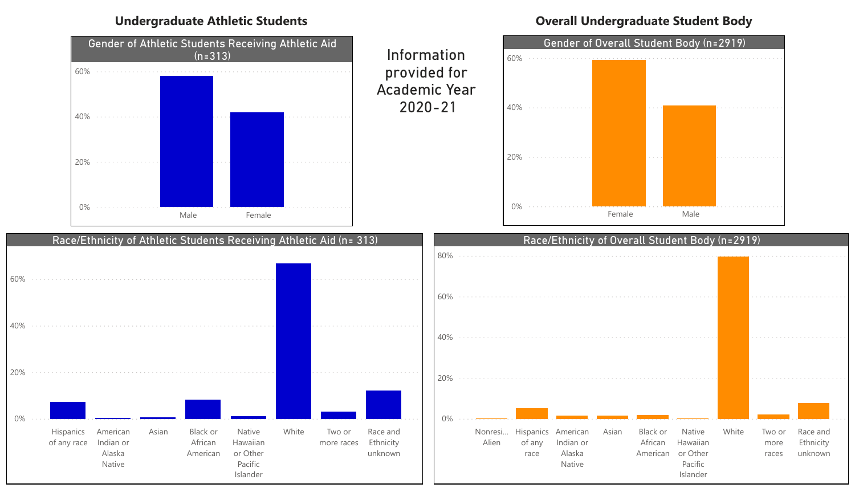

### Race/Ethnicity of Athletic Students Receiving Athletic Aid (n= 313)



## **Undergraduate Athletic Students**





## **Overall Undergraduate Student Body**

Information provided for Academic Year 2020-21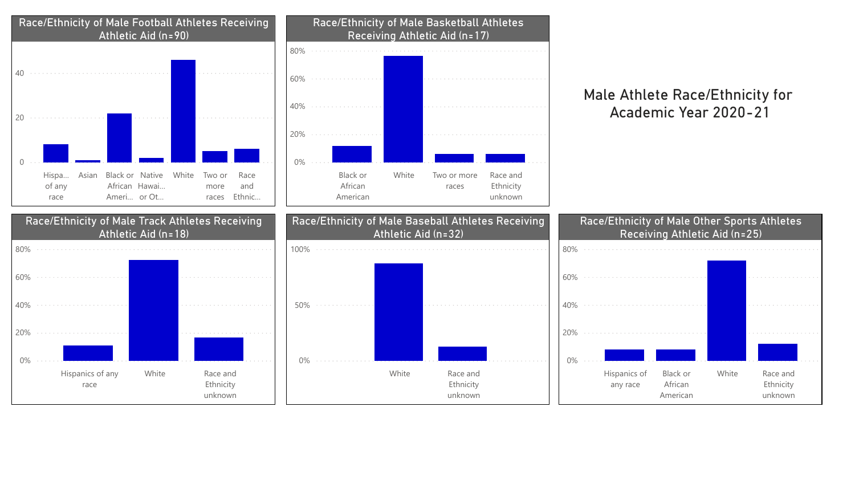



|   | ł,             | $\sim$              |                |  |
|---|----------------|---------------------|----------------|--|
| l | $\overline{a}$ | $\hat{\mathcal{L}}$ |                |  |
|   |                | $\sim$              | à,             |  |
|   |                | $\sim$              | $\overline{a}$ |  |
|   |                | $\sim$              |                |  |
|   |                |                     |                |  |
|   |                |                     |                |  |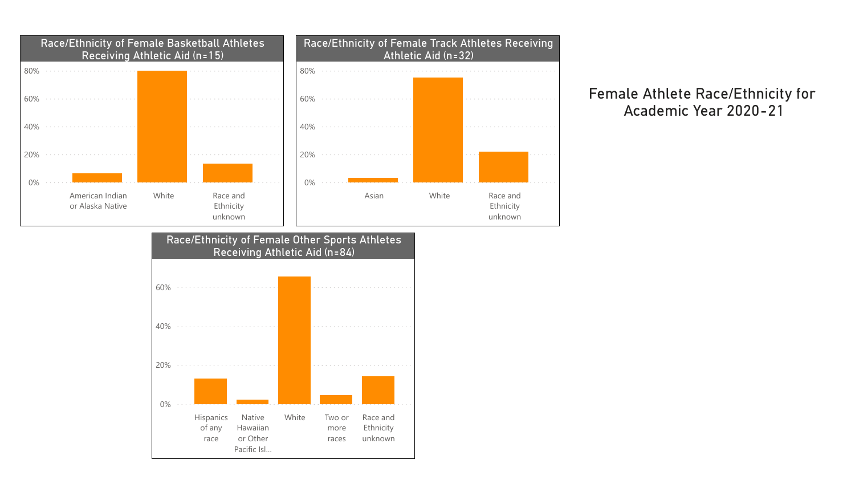

### Race/Ethnicity of Female Other Sports Athletes Receiving Athletic Aid (n=84)



## Female Athlete Race/Ethnicity for Academic Year 2020-21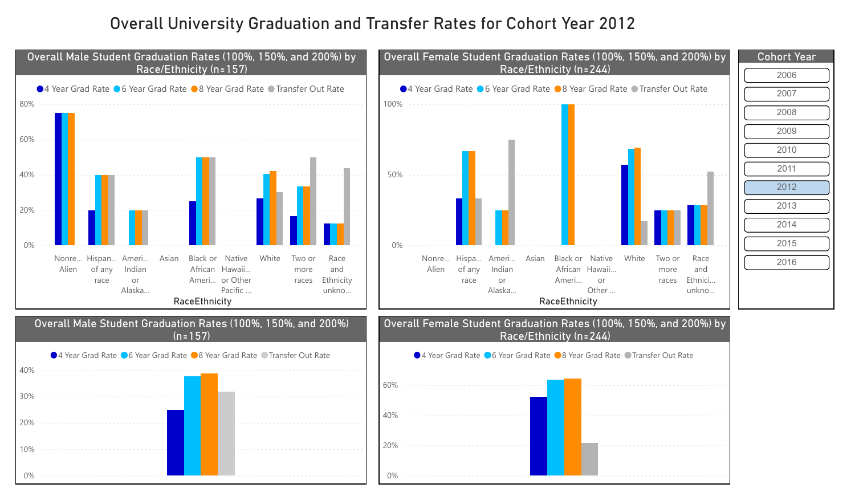

| ĆD | ar |  |  |  |
|----|----|--|--|--|
|    |    |  |  |  |
|    |    |  |  |  |
|    |    |  |  |  |
|    |    |  |  |  |
|    |    |  |  |  |
|    |    |  |  |  |
|    |    |  |  |  |
|    |    |  |  |  |
|    |    |  |  |  |
|    |    |  |  |  |
|    |    |  |  |  |
|    |    |  |  |  |
|    |    |  |  |  |

# Overall University Graduation and Transfer Rates for Cohort Year 2012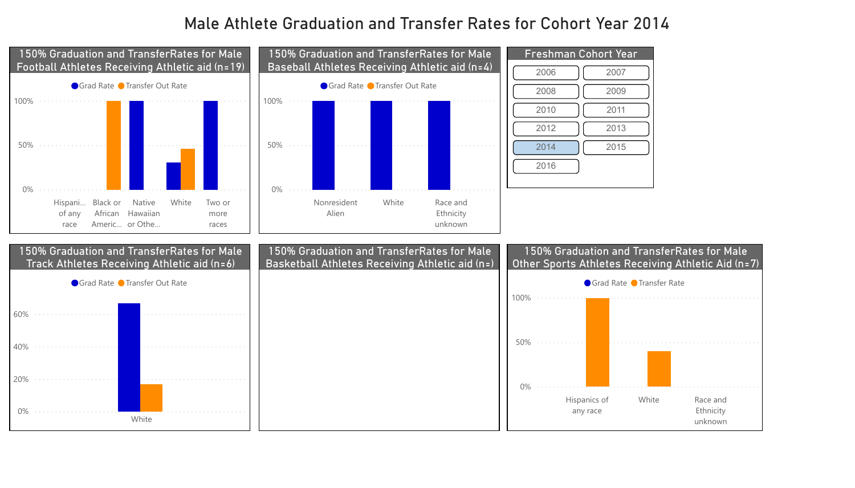



### 150% Graduation and TransferRates for Male Track Athletes Receiving Athletic aid (n=6)



# Male Athlete Graduation and Transfer Rates for Cohort Year 2014